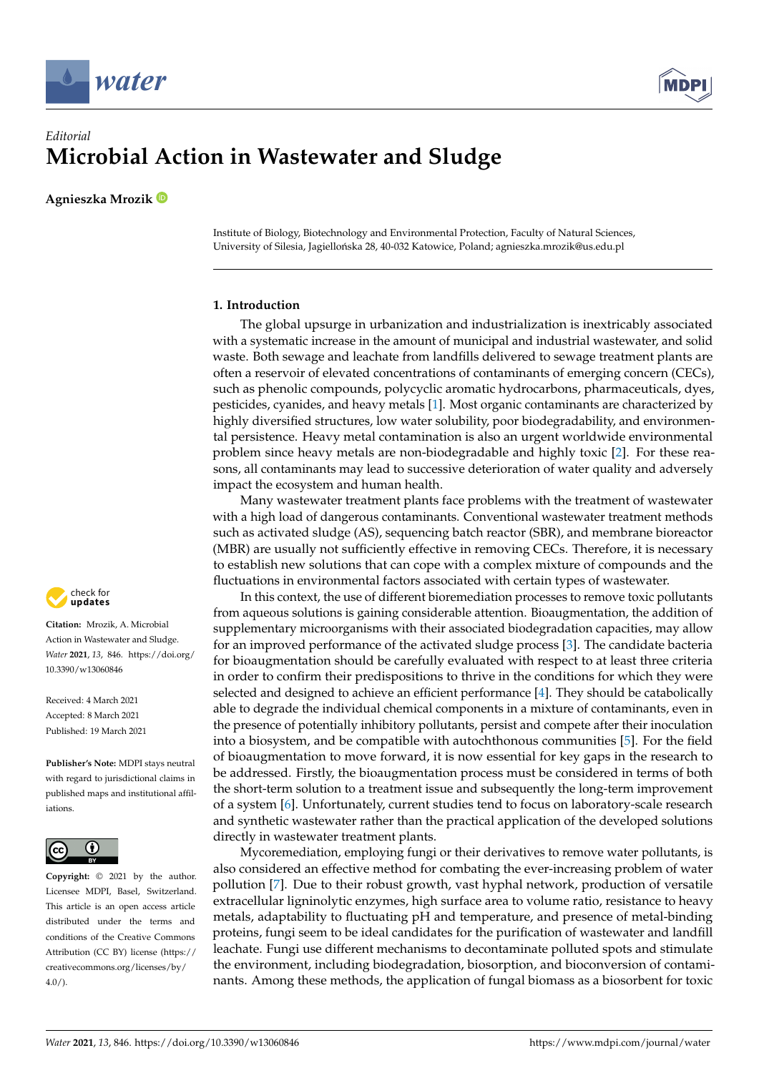



# *Editorial* **Microbial Action in Wastewater and Sludge**

**Agnieszka Mrozik**

Institute of Biology, Biotechnology and Environmental Protection, Faculty of Natural Sciences, University of Silesia, Jagiellońska 28, 40-032 Katowice, Poland; agnieszka.mrozik@us.edu.pl

## **1. Introduction**

The global upsurge in urbanization and industrialization is inextricably associated with a systematic increase in the amount of municipal and industrial wastewater, and solid waste. Both sewage and leachate from landfills delivered to sewage treatment plants are often a reservoir of elevated concentrations of contaminants of emerging concern (CECs), such as phenolic compounds, polycyclic aromatic hydrocarbons, pharmaceuticals, dyes, pesticides, cyanides, and heavy metals [\[1\]](#page-3-0). Most organic contaminants are characterized by highly diversified structures, low water solubility, poor biodegradability, and environmental persistence. Heavy metal contamination is also an urgent worldwide environmental problem since heavy metals are non-biodegradable and highly toxic [\[2\]](#page-3-1). For these reasons, all contaminants may lead to successive deterioration of water quality and adversely impact the ecosystem and human health.

Many wastewater treatment plants face problems with the treatment of wastewater with a high load of dangerous contaminants. Conventional wastewater treatment methods such as activated sludge (AS), sequencing batch reactor (SBR), and membrane bioreactor (MBR) are usually not sufficiently effective in removing CECs. Therefore, it is necessary to establish new solutions that can cope with a complex mixture of compounds and the fluctuations in environmental factors associated with certain types of wastewater.

In this context, the use of different bioremediation processes to remove toxic pollutants from aqueous solutions is gaining considerable attention. Bioaugmentation, the addition of supplementary microorganisms with their associated biodegradation capacities, may allow for an improved performance of the activated sludge process [\[3\]](#page-3-2). The candidate bacteria for bioaugmentation should be carefully evaluated with respect to at least three criteria in order to confirm their predispositions to thrive in the conditions for which they were selected and designed to achieve an efficient performance [\[4\]](#page-3-3). They should be catabolically able to degrade the individual chemical components in a mixture of contaminants, even in the presence of potentially inhibitory pollutants, persist and compete after their inoculation into a biosystem, and be compatible with autochthonous communities [\[5\]](#page-3-4). For the field of bioaugmentation to move forward, it is now essential for key gaps in the research to be addressed. Firstly, the bioaugmentation process must be considered in terms of both the short-term solution to a treatment issue and subsequently the long-term improvement of a system [\[6\]](#page-3-5). Unfortunately, current studies tend to focus on laboratory-scale research and synthetic wastewater rather than the practical application of the developed solutions directly in wastewater treatment plants.

Mycoremediation, employing fungi or their derivatives to remove water pollutants, is also considered an effective method for combating the ever-increasing problem of water pollution [\[7\]](#page-3-6). Due to their robust growth, vast hyphal network, production of versatile extracellular ligninolytic enzymes, high surface area to volume ratio, resistance to heavy metals, adaptability to fluctuating pH and temperature, and presence of metal-binding proteins, fungi seem to be ideal candidates for the purification of wastewater and landfill leachate. Fungi use different mechanisms to decontaminate polluted spots and stimulate the environment, including biodegradation, biosorption, and bioconversion of contaminants. Among these methods, the application of fungal biomass as a biosorbent for toxic



**Citation:** Mrozik, A. Microbial Action in Wastewater and Sludge. *Water* **2021**, *13*, 846. [https://doi.org/](https://doi.org/10.3390/w13060846) [10.3390/w13060846](https://doi.org/10.3390/w13060846)

Received: 4 March 2021 Accepted: 8 March 2021 Published: 19 March 2021

**Publisher's Note:** MDPI stays neutral with regard to jurisdictional claims in published maps and institutional affiliations.



**Copyright:** © 2021 by the author. Licensee MDPI, Basel, Switzerland. This article is an open access article distributed under the terms and conditions of the Creative Commons Attribution (CC BY) license (https:/[/](https://creativecommons.org/licenses/by/4.0/) [creativecommons.org/licenses/by/](https://creativecommons.org/licenses/by/4.0/)  $4.0/$ ).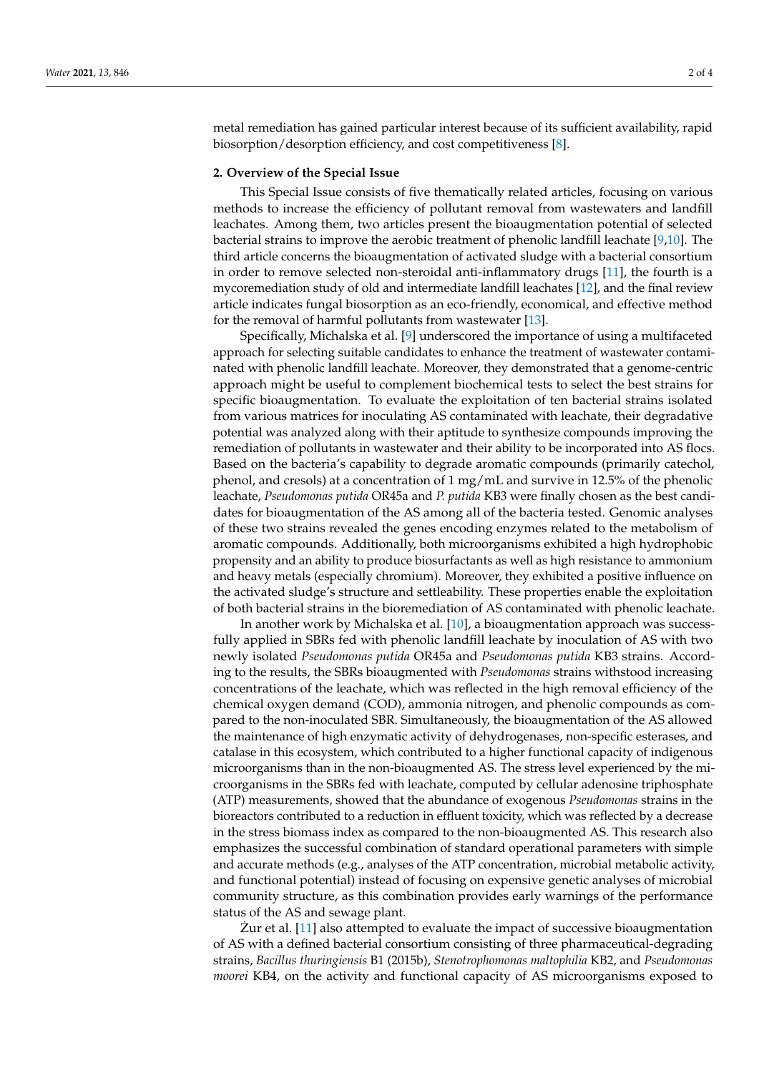metal remediation has gained particular interest because of its sufficient availability, rapid biosorption/desorption efficiency, and cost competitiveness [\[8\]](#page-3-7).

### **2. Overview of the Special Issue**

This Special Issue consists of five thematically related articles, focusing on various methods to increase the efficiency of pollutant removal from wastewaters and landfill leachates. Among them, two articles present the bioaugmentation potential of selected bacterial strains to improve the aerobic treatment of phenolic landfill leachate [\[9,](#page-3-8)[10\]](#page-3-9). The third article concerns the bioaugmentation of activated sludge with a bacterial consortium in order to remove selected non-steroidal anti-inflammatory drugs [\[11\]](#page-3-10), the fourth is a mycoremediation study of old and intermediate landfill leachates [\[12\]](#page-3-11), and the final review article indicates fungal biosorption as an eco-friendly, economical, and effective method for the removal of harmful pollutants from wastewater [\[13\]](#page-3-12).

Specifically, Michalska et al. [\[9\]](#page-3-8) underscored the importance of using a multifaceted approach for selecting suitable candidates to enhance the treatment of wastewater contaminated with phenolic landfill leachate. Moreover, they demonstrated that a genome-centric approach might be useful to complement biochemical tests to select the best strains for specific bioaugmentation. To evaluate the exploitation of ten bacterial strains isolated from various matrices for inoculating AS contaminated with leachate, their degradative potential was analyzed along with their aptitude to synthesize compounds improving the remediation of pollutants in wastewater and their ability to be incorporated into AS flocs. Based on the bacteria's capability to degrade aromatic compounds (primarily catechol, phenol, and cresols) at a concentration of 1 mg/mL and survive in 12.5% of the phenolic leachate, *Pseudomonas putida* OR45a and *P. putida* KB3 were finally chosen as the best candidates for bioaugmentation of the AS among all of the bacteria tested. Genomic analyses of these two strains revealed the genes encoding enzymes related to the metabolism of aromatic compounds. Additionally, both microorganisms exhibited a high hydrophobic propensity and an ability to produce biosurfactants as well as high resistance to ammonium and heavy metals (especially chromium). Moreover, they exhibited a positive influence on the activated sludge's structure and settleability. These properties enable the exploitation of both bacterial strains in the bioremediation of AS contaminated with phenolic leachate.

In another work by Michalska et al. [\[10\]](#page-3-9), a bioaugmentation approach was successfully applied in SBRs fed with phenolic landfill leachate by inoculation of AS with two newly isolated *Pseudomonas putida* OR45a and *Pseudomonas putida* KB3 strains. According to the results, the SBRs bioaugmented with *Pseudomonas* strains withstood increasing concentrations of the leachate, which was reflected in the high removal efficiency of the chemical oxygen demand (COD), ammonia nitrogen, and phenolic compounds as compared to the non-inoculated SBR. Simultaneously, the bioaugmentation of the AS allowed the maintenance of high enzymatic activity of dehydrogenases, non-specific esterases, and catalase in this ecosystem, which contributed to a higher functional capacity of indigenous microorganisms than in the non-bioaugmented AS. The stress level experienced by the microorganisms in the SBRs fed with leachate, computed by cellular adenosine triphosphate (ATP) measurements, showed that the abundance of exogenous *Pseudomonas* strains in the bioreactors contributed to a reduction in effluent toxicity, which was reflected by a decrease in the stress biomass index as compared to the non-bioaugmented AS. This research also emphasizes the successful combination of standard operational parameters with simple and accurate methods (e.g., analyses of the ATP concentration, microbial metabolic activity, and functional potential) instead of focusing on expensive genetic analyses of microbial community structure, as this combination provides early warnings of the performance status of the AS and sewage plant.

Zur et al.  $[11]$  $[11]$  also attempted to evaluate the impact of successive bioaugmentation of AS with a defined bacterial consortium consisting of three pharmaceutical-degrading strains, *Bacillus thuringiensis* B1 (2015b), *Stenotrophomonas maltophilia* KB2, and *Pseudomonas moorei* KB4, on the activity and functional capacity of AS microorganisms exposed to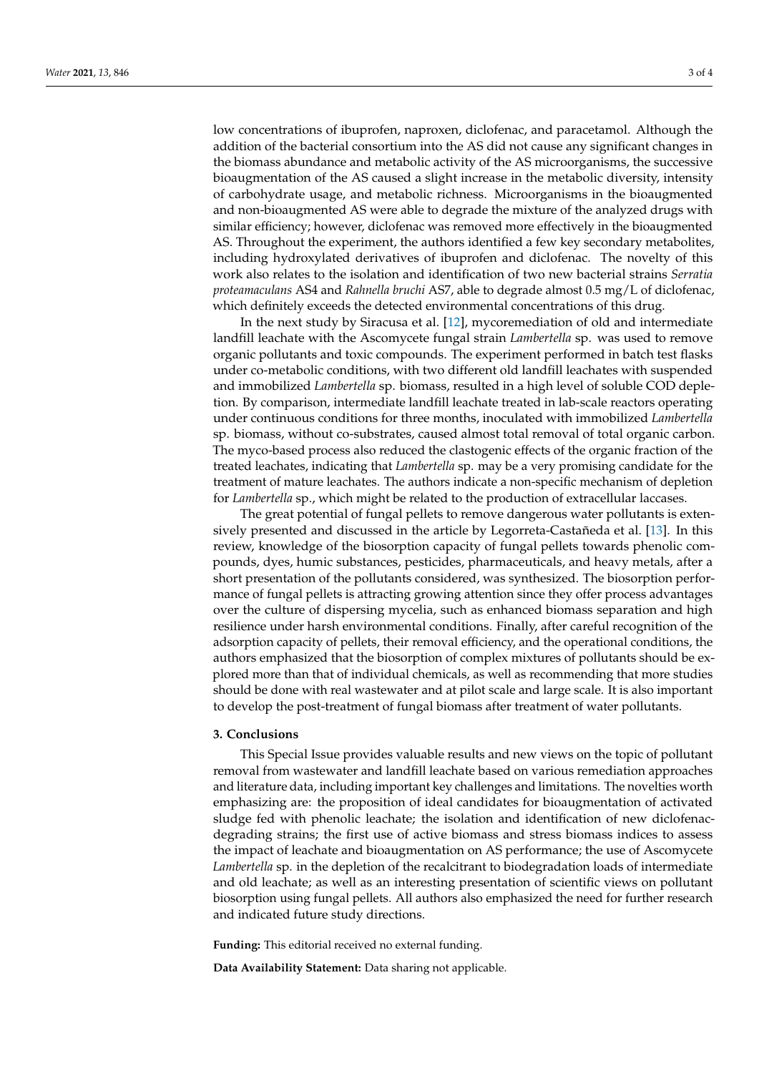low concentrations of ibuprofen, naproxen, diclofenac, and paracetamol. Although the addition of the bacterial consortium into the AS did not cause any significant changes in the biomass abundance and metabolic activity of the AS microorganisms, the successive bioaugmentation of the AS caused a slight increase in the metabolic diversity, intensity of carbohydrate usage, and metabolic richness. Microorganisms in the bioaugmented and non-bioaugmented AS were able to degrade the mixture of the analyzed drugs with similar efficiency; however, diclofenac was removed more effectively in the bioaugmented AS. Throughout the experiment, the authors identified a few key secondary metabolites, including hydroxylated derivatives of ibuprofen and diclofenac. The novelty of this work also relates to the isolation and identification of two new bacterial strains *Serratia proteamaculans* AS4 and *Rahnella bruchi* AS7, able to degrade almost 0.5 mg/L of diclofenac, which definitely exceeds the detected environmental concentrations of this drug.

In the next study by Siracusa et al. [\[12\]](#page-3-11), mycoremediation of old and intermediate landfill leachate with the Ascomycete fungal strain *Lambertella* sp. was used to remove organic pollutants and toxic compounds. The experiment performed in batch test flasks under co-metabolic conditions, with two different old landfill leachates with suspended and immobilized *Lambertella* sp. biomass, resulted in a high level of soluble COD depletion. By comparison, intermediate landfill leachate treated in lab-scale reactors operating under continuous conditions for three months, inoculated with immobilized *Lambertella* sp. biomass, without co-substrates, caused almost total removal of total organic carbon. The myco-based process also reduced the clastogenic effects of the organic fraction of the treated leachates, indicating that *Lambertella* sp. may be a very promising candidate for the treatment of mature leachates. The authors indicate a non-specific mechanism of depletion for *Lambertella* sp., which might be related to the production of extracellular laccases.

The great potential of fungal pellets to remove dangerous water pollutants is extensively presented and discussed in the article by Legorreta-Castañeda et al. [\[13\]](#page-3-12). In this review, knowledge of the biosorption capacity of fungal pellets towards phenolic compounds, dyes, humic substances, pesticides, pharmaceuticals, and heavy metals, after a short presentation of the pollutants considered, was synthesized. The biosorption performance of fungal pellets is attracting growing attention since they offer process advantages over the culture of dispersing mycelia, such as enhanced biomass separation and high resilience under harsh environmental conditions. Finally, after careful recognition of the adsorption capacity of pellets, their removal efficiency, and the operational conditions, the authors emphasized that the biosorption of complex mixtures of pollutants should be explored more than that of individual chemicals, as well as recommending that more studies should be done with real wastewater and at pilot scale and large scale. It is also important to develop the post-treatment of fungal biomass after treatment of water pollutants.

#### **3. Conclusions**

This Special Issue provides valuable results and new views on the topic of pollutant removal from wastewater and landfill leachate based on various remediation approaches and literature data, including important key challenges and limitations. The novelties worth emphasizing are: the proposition of ideal candidates for bioaugmentation of activated sludge fed with phenolic leachate; the isolation and identification of new diclofenacdegrading strains; the first use of active biomass and stress biomass indices to assess the impact of leachate and bioaugmentation on AS performance; the use of Ascomycete *Lambertella* sp. in the depletion of the recalcitrant to biodegradation loads of intermediate and old leachate; as well as an interesting presentation of scientific views on pollutant biosorption using fungal pellets. All authors also emphasized the need for further research and indicated future study directions.

**Funding:** This editorial received no external funding.

**Data Availability Statement:** Data sharing not applicable.